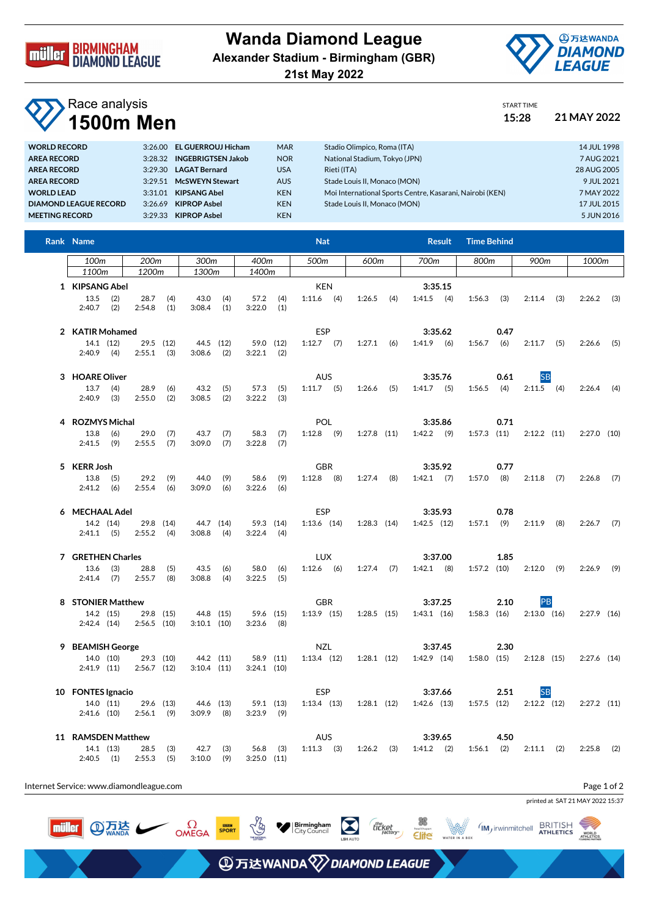

## **Wanda Diamond League Alexander Stadium - Birmingham (GBR)**



**21st May 2022**

## Race analysis **1500m Men 15:28 21 MAY 2022**

| START TIME |  |
|------------|--|
| 15.28      |  |

| <b>WORLD RECORD</b>          | 3:26.00 | <b>EL GUERROUJ Hicham</b> | <b>MAR</b> | Stadio Olimpico, Roma (ITA)                              | 14 JUL 1998 |
|------------------------------|---------|---------------------------|------------|----------------------------------------------------------|-------------|
| <b>AREA RECORD</b>           | 3:28.32 | <b>INGEBRIGTSEN Jakob</b> | <b>NOR</b> | National Stadium, Tokyo (JPN)                            | 7 AUG 2021  |
| <b>AREA RECORD</b>           | 3.29.30 | <b>LAGAT Bernard</b>      | <b>USA</b> | Rieti (ITA)                                              | 28 AUG 2005 |
| <b>AREA RECORD</b>           | 3.29.51 | <b>McSWEYN Stewart</b>    | <b>AUS</b> | Stade Louis II. Monaco (MON)                             | 9 JUL 2021  |
| <b>WORLD LEAD</b>            | 3:31.01 | <b>KIPSANG Abel</b>       | <b>KEN</b> | Moi International Sports Centre, Kasarani, Nairobi (KEN) | 7 MAY 2022  |
| <b>DIAMOND LEAGUE RECORD</b> | 3:26.69 | <b>KIPROP Asbel</b>       | <b>KEN</b> | Stade Louis II. Monaco (MON)                             | 17 JUL 2015 |
| <b>MEETING RECORD</b>        | 3:29.33 | <b>KIPROP Asbel</b>       | <b>KEN</b> |                                                          | 5 JUN 2016  |

| Rank Name                                       |                             |                              |            |                            | <b>Nat</b>                               |                 |     | <b>Result</b>              | <b>Time Behind</b>      |                            |               |
|-------------------------------------------------|-----------------------------|------------------------------|------------|----------------------------|------------------------------------------|-----------------|-----|----------------------------|-------------------------|----------------------------|---------------|
| 100m                                            | 200m                        | 300m                         |            | 400m                       | 500m                                     | 600m            |     | 700m                       | 800m                    | 900m                       | 1000m         |
| 1100 <sub>m</sub>                               | 1200m                       | 1300m                        |            | 1400m                      |                                          |                 |     |                            |                         |                            |               |
| 1 KIPSANG Abel<br>(2)<br>13.5<br>$2:40.7$ (2)   | 28.7<br>2:54.8              | (4)<br>43.0<br>(1)<br>3:08.4 | (4)<br>(1) | 57.2<br>3:22.0             | <b>KEN</b><br>$1:11.6$ (4)<br>(4)<br>(1) | 1:26.5          | (4) | 3:35.15<br>$1:41.5$ (4)    | 1:56.3<br>(3)           | $2:11.4$ (3)               | $2:26.2$ (3)  |
| 2 KATIR Mohamed<br>14.1 (12)<br>$2:40.9$ (4)    | $29.5$ (12)<br>$2:55.1$ (3) | 44.5 (12)<br>$3:08.6$ (2)    |            | 59.0 (12)<br>$3:22.1$ (2)  | ESP<br>$1:12.7$ (7)                      | $1:27.1$ (6)    |     | 3:35.62<br>$1:41.9$ (6)    | 0.47<br>1:56.7<br>(6)   | $2:11.7$ (5)               | $2:26.6$ (5)  |
| 3 HOARE Oliver<br>13.7<br>(4)<br>$2:40.9$ (3)   | 28.9<br>2:55.0              | 43.2<br>(6)<br>(2)<br>3:08.5 | (5)<br>(2) | 57.3<br>3:22.2             | <b>AUS</b><br>$1:11.7$ (5)<br>(5)<br>(3) | $1:26.6$ (5)    |     | 3:35.76<br>$1:41.7$ (5)    | 0.61<br>$1:56.5$ (4)    | <b>SB</b><br>$2:11.5$ (4)  | $2:26.4$ (4)  |
| 4 ROZMYS Michal<br>13.8<br>(6)<br>$2:41.5$ (9)  | 29.0<br>2:55.5              | (7)<br>43.7<br>(7)<br>3:09.0 | (7)<br>(7) | 58.3<br>3:22.8             | <b>POL</b><br>$1:12.8$ (9)<br>(7)<br>(7) | $1:27.8$ $(11)$ |     | 3:35.86<br>$1:42.2$ (9)    | 0.71<br>$1:57.3$ $(11)$ | $2:12.2$ (11)              | $2:27.0$ (10) |
| 5 KERR Josh<br>$13.8$ (5)<br>$2:41.2$ (6)       | 29.2<br>2:55.4              | (9)<br>44.0<br>(6)<br>3:09.0 | (9)<br>(6) | 58.6<br>3:22.6             | <b>GBR</b><br>$1:12.8$ (8)<br>(9)<br>(6) | $1:27.4$ (8)    |     | 3:35.92<br>$1:42.1$ (7)    | 0.77<br>1:57.0<br>(8)   | $2:11.8$ (7)               | $2:26.8$ (7)  |
| 6 MECHAAL Adel<br>14.2 (14)<br>$2:41.1$ (5)     | 29.8 (14)<br>$2:55.2$ (4)   | 44.7 (14)<br>3:08.8          | (4)        | 59.3 (14)<br>$3:22.4$ (4)  | ESP<br>$1:13.6$ $(14)$                   | $1:28.3$ $(14)$ |     | 3:35.93<br>$1:42.5$ $(12)$ | 0.78<br>$1:57.1$ (9)    | $2:11.9$ (8)               | $2:26.7$ (7)  |
| 7 GRETHEN Charles<br>$13.6$ (3)<br>$2:41.4$ (7) | 28.8<br>2:55.7              | (5)<br>43.5<br>(8)<br>3:08.8 | (6)<br>(4) | 58.0<br>3:22.5             | <b>LUX</b><br>$1:12.6$ (6)<br>(6)<br>(5) | $1:27.4$ (7)    |     | 3:37.00<br>$1:42.1$ (8)    | 1.85<br>$1:57.2$ (10)   | $2:12.0$ (9)               | $2:26.9$ (9)  |
| 8 STONIER Matthew<br>14.2 (15)<br>2:42.4(14)    | 29.8 (15)<br>$2:56.5$ (10)  | 44.8 (15)<br>$3:10.1$ (10)   |            | 59.6 (15)<br>$3:23.6$ (8)  | <b>GBR</b><br>$1:13.9$ $(15)$            | $1:28.5$ (15)   |     | 3:37.25<br>$1:43.1$ $(16)$ | 2.10<br>$1:58.3$ (16)   | PB<br>$2:13.0$ (16)        | $2:27.9$ (16) |
| 9 BEAMISH George<br>14.0 (10)<br>$2:41.9$ (11)  | 29.3 (10)<br>$2:56.7$ (12)  | 44.2 (11)<br>$3:10.4$ (11)   |            | 58.9 (11)<br>$3:24.1$ (10) | NZL<br>$1:13.4$ $(12)$                   | $1:28.1$ (12)   |     | 3:37.45<br>$1:42.9$ (14)   | 2.30<br>$1:58.0$ (15)   | $2:12.8$ (15)              | $2:27.6$ (14) |
| 10 FONTES Ignacio<br>14.0 (11)<br>$2:41.6$ (10) | 29.6 (13)<br>$2:56.1$ (9)   | 44.6 (13)<br>$3:09.9$ (8)    |            | 59.1 (13)<br>$3:23.9$ (9)  | ESP<br>$1:13.4$ $(13)$                   | $1:28.1$ $(12)$ |     | 3:37.66<br>$1:42.6$ $(13)$ | 2.51<br>$1:57.5$ $(12)$ | <b>SB</b><br>$2:12.2$ (12) | $2:27.2$ (11) |
| 11 RAMSDEN Matthew<br>14.1 (13)<br>$2:40.5$ (1) | 28.5<br>2:55.3              | (3)<br>42.7<br>(5)<br>3:10.0 | (3)<br>(9) | 56.8<br>$3:25.0$ $(11)$    | <b>AUS</b><br>$1:11.3$ (3)<br>(3)        | 1:26.2          | (3) | 3:39.65<br>$1:41.2$ (2)    | 4.50<br>$1:56.1$ (2)    | $2:11.1$ (2)               | 2:25.8<br>(2) |

**Birmingham** 

**ADD** 万达WANDA **WANDA DIAMOND LEAGUE** 

the<br>ticket

**Elite** 

Internet Service: www.diamondleague.com

**④点法** 

müller

 $\Omega$ 

Page 1 of 2

printed at SAT 21 MAY 2022 15:37